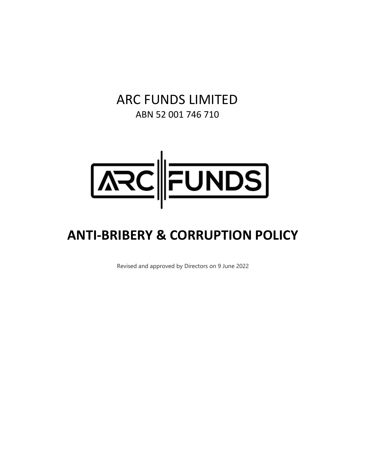# ARC FUNDS LIMITED ABN 52 001 746 710



# **ANTI‐BRIBERY & CORRUPTION POLICY**

Revised and approved by Directors on 9 June 2022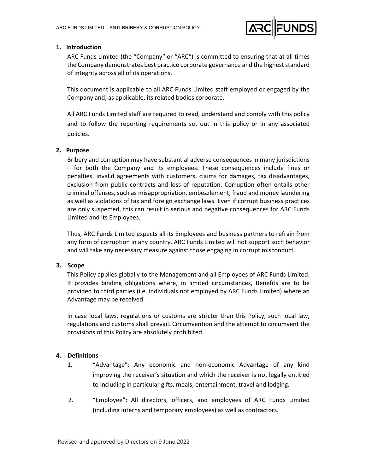

# **1. Introduction**

ARC Funds Limited (the "Company" or "ARC") is committed to ensuring that at all times the Company demonstrates best practice corporate governance and the highest standard of integrity across all of its operations.

This document is applicable to all ARC Funds Limited staff employed or engaged by the Company and, as applicable, its related bodies corporate.

All ARC Funds Limited staff are required to read, understand and comply with this policy and to follow the reporting requirements set out in this policy or in any associated policies.

# **2. Purpose**

Bribery and corruption may have substantial adverse consequences in many jurisdictions – for both the Company and its employees. These consequences include fines or penalties, invalid agreements with customers, claims for damages, tax disadvantages, exclusion from public contracts and loss of reputation. Corruption often entails other criminal offenses, such as misappropriation, embezzlement, fraud and money laundering as well as violations of tax and foreign exchange laws. Even if corrupt business practices are only suspected, this can result in serious and negative consequences for ARC Funds Limited and its Employees.

Thus, ARC Funds Limited expects all its Employees and business partners to refrain from any form of corruption in any country. ARC Funds Limited will not support such behavior and will take any necessary measure against those engaging in corrupt misconduct.

# **3. Scope**

This Policy applies globally to the Management and all Employees of ARC Funds Limited. It provides binding obligations where, in limited circumstances, Benefits are to be provided to third parties (i.e. individuals not employed by ARC Funds Limited) where an Advantage may be received.

In case local laws, regulations or customs are stricter than this Policy, such local law, regulations and customs shall prevail. Circumvention and the attempt to circumvent the provisions of this Policy are absolutely prohibited.

# **4. Definitions**

- 1. "Advantage": Any economic and non‐economic Advantage of any kind improving the receiver's situation and which the receiver is not legally entitled to including in particular gifts, meals, entertainment, travel and lodging.
- 2. "Employee": All directors, officers, and employees of ARC Funds Limited (including interns and temporary employees) as well as contractors.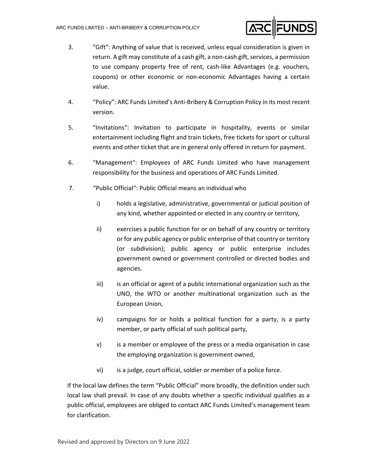

- 3. "Gift": Anything of value that is received, unless equal consideration is given in return. A gift may constitute of a cash gift, a non-cash gift, services, a permission to use company property free of rent, cash‐like Advantages (e.g. vouchers, coupons) or other economic or non‐economic Advantages having a certain value.
- 4. "Policy": ARC Funds Limited's Anti-Bribery & Corruption Policy in its most recent version.
- 5. "Invitations": Invitation to participate in hospitality, events or similar entertainment including flight and train tickets, free tickets for sport or cultural events and other ticket that are in general only offered in return for payment.
- 6. "Management": Employees of ARC Funds Limited who have management responsibility for the business and operations of ARC Funds Limited.
- 7. "Public Official": Public Official means an individual who
	- i) holds a legislative, administrative, governmental or judicial position of any kind, whether appointed or elected in any country or territory,
	- ii) exercises a public function for or on behalf of any country or territory or for any public agency or public enterprise of that country or territory (or subdivision); public agency or public enterprise includes government owned or government controlled or directed bodies and agencies.
	- iii) is an official or agent of a public international organization such as the UNO, the WTO or another multinational organization such as the European Union,
	- iv) campaigns for or holds a political function for a party, is a party member, or party official of such political party,
	- v) is a member or employee of the press or a media organisation in case the employing organization is government owned,
	- vi) is a judge, court official, soldier or member of a police force.

If the local law defines the term "Public Official" more broadly, the definition under such local law shall prevail. In case of any doubts whether a specific individual qualifies as a public official, employees are obliged to contact ARC Funds Limited's management team for clarification.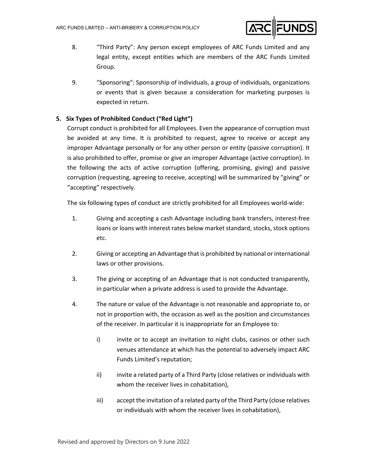

- 8. "Third Party": Any person except employees of ARC Funds Limited and any legal entity, except entities which are members of the ARC Funds Limited Group.
- 9. "Sponsoring": Sponsorship of individuals, a group of individuals, organizations or events that is given because a consideration for marketing purposes is expected in return.

# **5. Six Types of Prohibited Conduct ("Red Light")**

Corrupt conduct is prohibited for all Employees. Even the appearance of corruption must be avoided at any time. It is prohibited to request, agree to receive or accept any improper Advantage personally or for any other person or entity (passive corruption). It is also prohibited to offer, promise or give an improper Advantage (active corruption). In the following the acts of active corruption (offering, promising, giving) and passive corruption (requesting, agreeing to receive, accepting) will be summarized by "giving" or "accepting" respectively.

The six following types of conduct are strictly prohibited for all Employees world-wide:

- 1. Giving and accepting a cash Advantage including bank transfers, interest‐free loans or loans with interest rates below market standard, stocks, stock options etc.
- 2. Giving or accepting an Advantage that is prohibited by national or international laws or other provisions.
- 3. The giving or accepting of an Advantage that is not conducted transparently, in particular when a private address is used to provide the Advantage.
- 4. The nature or value of the Advantage is not reasonable and appropriate to, or not in proportion with, the occasion as well as the position and circumstances of the receiver. In particular it is inappropriate for an Employee to:
	- i) invite or to accept an invitation to night clubs, casinos or other such venues attendance at which has the potential to adversely impact ARC Funds Limited's reputation;
	- ii) invite a related party of a Third Party (close relatives or individuals with whom the receiver lives in cohabitation),
	- iii) accept the invitation of a related party of the Third Party (close relatives or individuals with whom the receiver lives in cohabitation),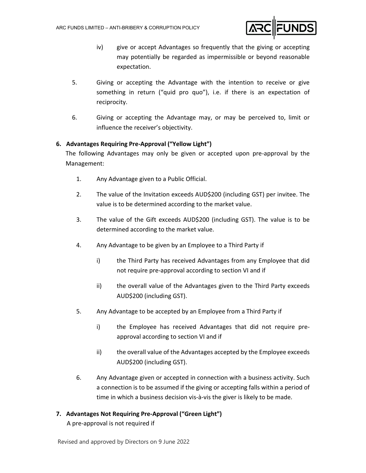

- iv) give or accept Advantages so frequently that the giving or accepting may potentially be regarded as impermissible or beyond reasonable expectation.
- 5. Giving or accepting the Advantage with the intention to receive or give something in return ("quid pro quo"), i.e. if there is an expectation of reciprocity.
- 6. Giving or accepting the Advantage may, or may be perceived to, limit or influence the receiver's objectivity.

# **6. Advantages Requiring Pre‐Approval ("Yellow Light")**

The following Advantages may only be given or accepted upon pre‐approval by the Management:

- 1. Any Advantage given to a Public Official.
- 2. The value of the Invitation exceeds AUD\$200 (including GST) per invitee. The value is to be determined according to the market value.
- 3. The value of the Gift exceeds AUD\$200 (including GST). The value is to be determined according to the market value.
- 4. Any Advantage to be given by an Employee to a Third Party if
	- i) the Third Party has received Advantages from any Employee that did not require pre‐approval according to section VI and if
	- ii) the overall value of the Advantages given to the Third Party exceeds AUD\$200 (including GST).
- 5. Any Advantage to be accepted by an Employee from a Third Party if
	- i) the Employee has received Advantages that did not require preapproval according to section VI and if
	- ii) the overall value of the Advantages accepted by the Employee exceeds AUD\$200 (including GST).
- 6. Any Advantage given or accepted in connection with a business activity. Such a connection is to be assumed if the giving or accepting falls within a period of time in which a business decision vis‐à‐vis the giver is likely to be made.

# **7. Advantages Not Requiring Pre‐Approval ("Green Light")**

A pre‐approval is not required if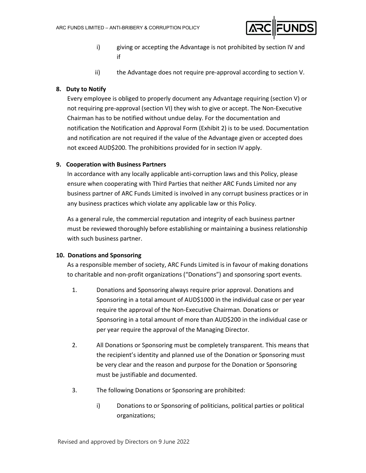

- i) giving or accepting the Advantage is not prohibited by section IV and if
- ii) the Advantage does not require pre-approval according to section V.

# **8. Duty to Notify**

Every employee is obliged to properly document any Advantage requiring (section V) or not requiring pre‐approval (section VI) they wish to give or accept. The Non‐Executive Chairman has to be notified without undue delay. For the documentation and notification the Notification and Approval Form (Exhibit 2) is to be used. Documentation and notification are not required if the value of the Advantage given or accepted does not exceed AUD\$200. The prohibitions provided for in section IV apply.

# **9. Cooperation with Business Partners**

In accordance with any locally applicable anti‐corruption laws and this Policy, please ensure when cooperating with Third Parties that neither ARC Funds Limited nor any business partner of ARC Funds Limited is involved in any corrupt business practices or in any business practices which violate any applicable law or this Policy.

As a general rule, the commercial reputation and integrity of each business partner must be reviewed thoroughly before establishing or maintaining a business relationship with such business partner.

# **10. Donations and Sponsoring**

As a responsible member of society, ARC Funds Limited is in favour of making donations to charitable and non‐profit organizations ("Donations") and sponsoring sport events.

- 1. Donations and Sponsoring always require prior approval. Donations and Sponsoring in a total amount of AUD\$1000 in the individual case or per year require the approval of the Non‐Executive Chairman. Donations or Sponsoring in a total amount of more than AUD\$200 in the individual case or per year require the approval of the Managing Director.
- 2. All Donations or Sponsoring must be completely transparent. This means that the recipient's identity and planned use of the Donation or Sponsoring must be very clear and the reason and purpose for the Donation or Sponsoring must be justifiable and documented.
- 3. The following Donations or Sponsoring are prohibited:
	- i) Donations to or Sponsoring of politicians, political parties or political organizations;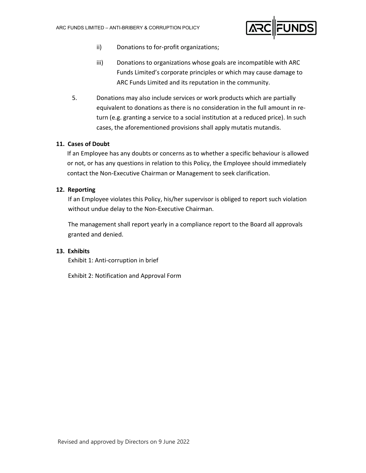

- ii) Donations to for-profit organizations;
- iii) Donations to organizations whose goals are incompatible with ARC Funds Limited's corporate principles or which may cause damage to ARC Funds Limited and its reputation in the community.
- 5. Donations may also include services or work products which are partially equivalent to donations as there is no consideration in the full amount in re‐ turn (e.g. granting a service to a social institution at a reduced price). In such cases, the aforementioned provisions shall apply mutatis mutandis.

# **11. Cases of Doubt**

If an Employee has any doubts or concerns as to whether a specific behaviour is allowed or not, or has any questions in relation to this Policy, the Employee should immediately contact the Non‐Executive Chairman or Management to seek clarification.

# **12. Reporting**

If an Employee violates this Policy, his/her supervisor is obliged to report such violation without undue delay to the Non‐Executive Chairman.

The management shall report yearly in a compliance report to the Board all approvals granted and denied.

# **13. Exhibits**

Exhibit 1: Anti‐corruption in brief

Exhibit 2: Notification and Approval Form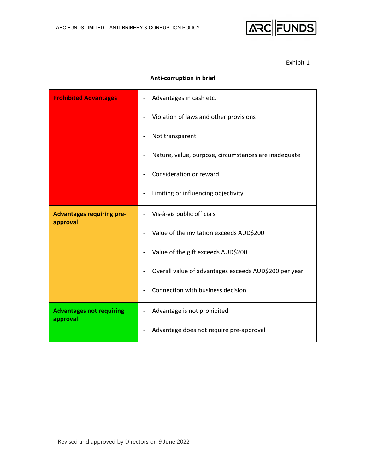

Exhibit 1

# **Anti‐corruption in brief**

| <b>Prohibited Advantages</b>                 | Advantages in cash etc.                               |
|----------------------------------------------|-------------------------------------------------------|
|                                              | Violation of laws and other provisions                |
|                                              | Not transparent                                       |
|                                              | Nature, value, purpose, circumstances are inadequate  |
|                                              | Consideration or reward                               |
|                                              | Limiting or influencing objectivity                   |
| <b>Advantages requiring pre-</b><br>approval | Vis-à-vis public officials                            |
|                                              | Value of the invitation exceeds AUD\$200              |
|                                              | Value of the gift exceeds AUD\$200                    |
|                                              | Overall value of advantages exceeds AUD\$200 per year |
|                                              | Connection with business decision                     |
| <b>Advantages not requiring</b><br>approval  | Advantage is not prohibited                           |
|                                              | Advantage does not require pre-approval               |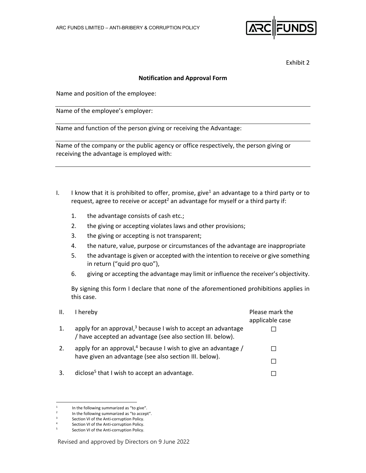

Exhibit 2

#### **Notification and Approval Form**

Name and position of the employee:

Name of the employee's employer:

Name and function of the person giving or receiving the Advantage:

Name of the company or the public agency or office respectively, the person giving or receiving the advantage is employed with:

- I. I know that it is prohibited to offer, promise, give<sup>1</sup> an advantage to a third party or to request, agree to receive or accept<sup>2</sup> an advantage for myself or a third party if:
	- 1. the advantage consists of cash etc.;
	- 2. the giving or accepting violates laws and other provisions;
	- 3. the giving or accepting is not transparent;
	- 4. the nature, value, purpose or circumstances of the advantage are inappropriate
	- 5. the advantage is given or accepted with the intention to receive or give something in return ("quid pro quo"),
	- 6. giving or accepting the advantage may limit or influence the receiver's objectivity.

By signing this form I declare that none of the aforementioned prohibitions applies in this case.

| Ш. | I hereby                                                                                                                        | Please mark the<br>applicable case |
|----|---------------------------------------------------------------------------------------------------------------------------------|------------------------------------|
| 1. | apply for an approval, $3$ because I wish to accept an advantage<br>/ have accepted an advantage (see also section III. below). |                                    |
| 2. | apply for an approval, <sup>4</sup> because I wish to give an advantage /                                                       |                                    |
|    | have given an advantage (see also section III. below).                                                                          |                                    |
| 3. | diclose <sup>5</sup> that I wish to accept an advantage.                                                                        |                                    |

<sup>1</sup> In the following summarized as "to give".

<sup>2</sup> In the following summarized as "to accept".

<sup>3</sup> Section VI of the Anti‐corruption Policy.

<sup>4</sup> Section VI of the Anti‐corruption Policy.

<sup>5</sup> Section VI of the Anti‐corruption Policy.